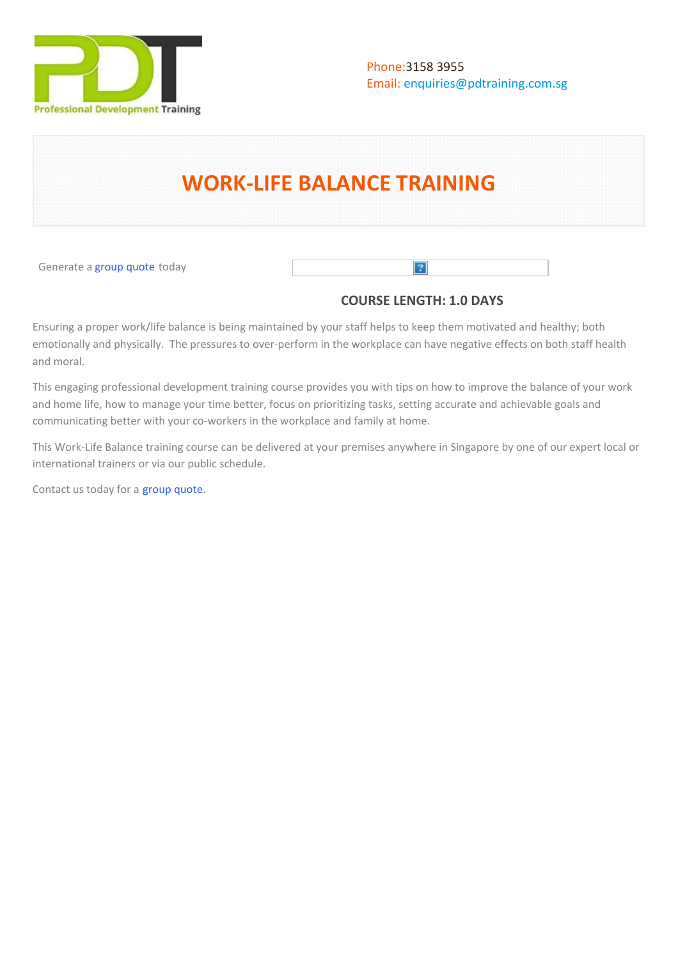

# **WORK-LIFE BALANCE TRAINING**

Generate a [group quote](https://pdtraining.com.sg/bookings/inhouseex1/quoterequestex1a.aspx?cse=PDU00056) today

# **COURSE LENGTH: 1.0 DAYS**

 $\boxed{?}$ 

Ensuring a proper work/life balance is being maintained by your staff helps to keep them motivated and healthy; both emotionally and physically. The pressures to over-perform in the workplace can have negative effects on both staff health and moral.

This engaging professional development training course provides you with tips on how to improve the balance of your work and home life, how to manage your time better, focus on prioritizing tasks, setting accurate and achievable goals and communicating better with your co-workers in the workplace and family at home.

This Work-Life Balance training course can be delivered at your premises anywhere in Singapore by one of our expert local or international trainers or via our public schedule.

Contact us today for a [group quote.](https://pdtraining.com.sg/bookings/inhouseex1/quoterequestex1a.aspx)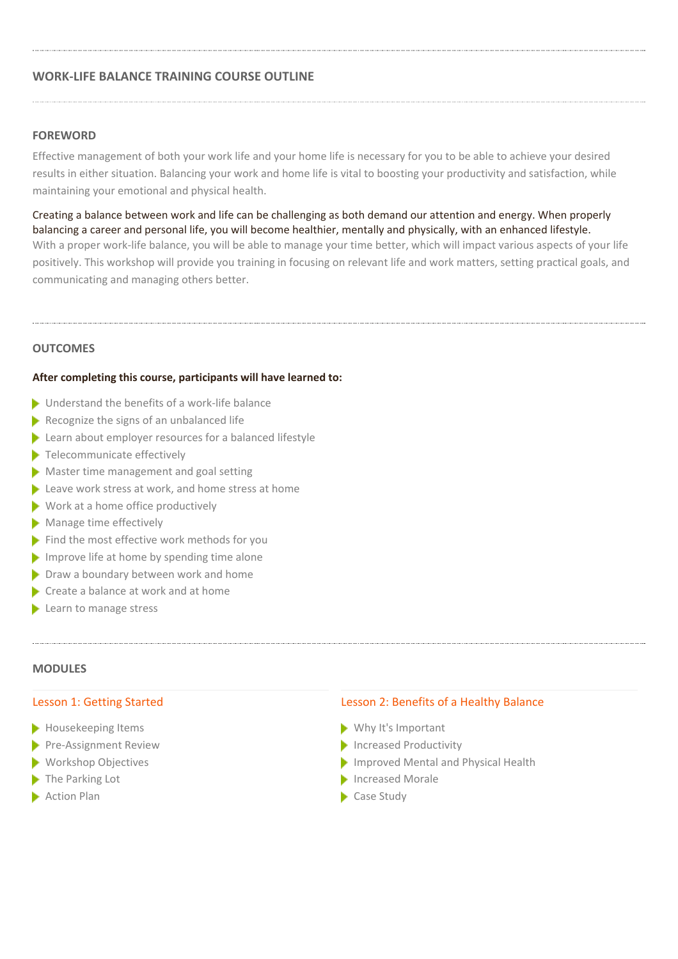# **WORK-LIFE BALANCE TRAINING COURSE OUTLINE**

#### **FOREWORD**

Effective management of both your work life and your home life is necessary for you to be able to achieve your desired results in either situation. Balancing your work and home life is vital to boosting your productivity and satisfaction, while maintaining your emotional and physical health.

Creating a balance between work and life can be challenging as both demand our attention and energy. When properly balancing a career and personal life, you will become healthier, mentally and physically, with an enhanced lifestyle. With a proper work-life balance, you will be able to manage your time better, which will impact various aspects of your life positively. This workshop will provide you training in focusing on relevant life and work matters, setting practical goals, and communicating and managing others better.

#### **OUTCOMES**

#### **After completing this course, participants will have learned to:**

- ▶ Understand the benefits of a work-life balance
- $\blacktriangleright$  Recognize the signs of an unbalanced life
- Extern about employer resources for a balanced lifestyle
- Telecommunicate effectively
- **Master time management and goal setting**
- Leave work stress at work, and home stress at home
- $\blacktriangleright$  Work at a home office productively
- Manage time effectively
- Find the most effective work methods for you
- Improve life at home by spending time alone
- Draw a boundary between work and home
- Create a balance at work and at home
- Learn to manage stress

#### **MODULES**

#### Lesson 1: Getting Started

- Housekeeping Items
- 
- **Workshop Objectives**
- The Parking Lot
- **Action Plan**

#### Lesson 2: Benefits of a Healthy Balance

- Why It's Important
- Pre-Assignment Review **Exercise 2018** Increased Productivity
	- Improved Mental and Physical Health
	- Increased Morale
	- Case Study